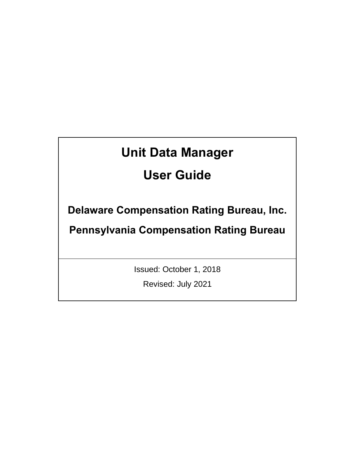# **Unit Data Manager**

# **User Guide**

**Delaware Compensation Rating Bureau, Inc.** 

**Pennsylvania Compensation Rating Bureau**

Issued: October 1, 2018

Revised: July 2021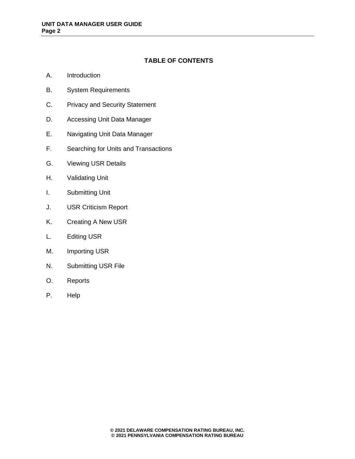# **TABLE OF CONTENTS**

- A. Introduction
- B. System Requirements
- C. Privacy and Security Statement
- D. Accessing Unit Data Manager
- E. Navigating Unit Data Manager
- F. Searching for Units and Transactions
- G. Viewing USR Details
- H. Validating Unit
- I. Submitting Unit
- J. USR Criticism Report
- K. Creating A New USR
- L. Editing USR
- M. Importing USR
- N. Submitting USR File
- O. Reports
- P. Help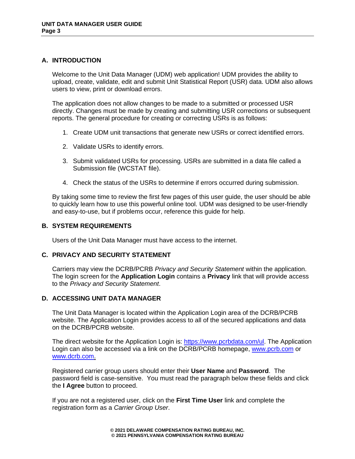## **A. INTRODUCTION**

Welcome to the Unit Data Manager (UDM) web application! UDM provides the ability to upload, create, validate, edit and submit Unit Statistical Report (USR) data. UDM also allows users to view, print or download errors.

The application does not allow changes to be made to a submitted or processed USR directly. Changes must be made by creating and submitting USR corrections or subsequent reports. The general procedure for creating or correcting USRs is as follows:

- 1. Create UDM unit transactions that generate new USRs or correct identified errors.
- 2. Validate USRs to identify errors.
- 3. Submit validated USRs for processing. USRs are submitted in a data file called a Submission file (WCSTAT file).
- 4. Check the status of the USRs to determine if errors occurred during submission.

By taking some time to review the first few pages of this user guide, the user should be able to quickly learn how to use this powerful online tool. UDM was designed to be user-friendly and easy-to-use, but if problems occur, reference this guide for help.

## **B. SYSTEM REQUIREMENTS**

Users of the Unit Data Manager must have access to the internet.

## **C. PRIVACY AND SECURITY STATEMENT**

Carriers may view the DCRB/PCRB *Privacy and Security Statement* within the application. The login screen for the **Application Login** contains a **Privacy** link that will provide access to the *Privacy and Security Statement*.

## **D. ACCESSING UNIT DATA MANAGER**

The Unit Data Manager is located within the Application Login area of the DCRB/PCRB website. The Application Login provides access to all of the secured applications and data on the DCRB/PCRB website.

The direct website for the Application Login is: [https://www.pcrbdata.com/ul.](https://www.pcrbdata.com/ul) The Application Login can also be accessed via a link on the DCRB/PCRB homepage, [www.pcrb.com](http://www.pcrb.com/) or [www.dcrb.com.](http://www.dcrb.com/)

Registered carrier group users should enter their **User Name** and **Password**. The password field is case-sensitive. You must read the paragraph below these fields and click the **I Agree** button to proceed.

If you are not a registered user, click on the **First Time User** link and complete the registration form as a *Carrier Group User*.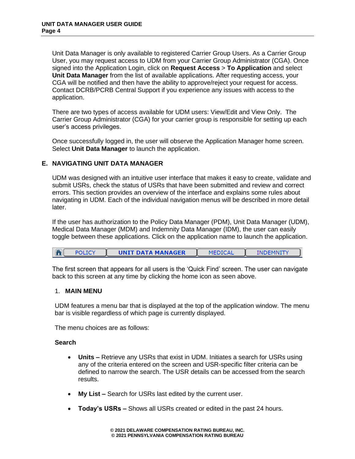Unit Data Manager is only available to registered Carrier Group Users. As a Carrier Group User, you may request access to UDM from your Carrier Group Administrator (CGA). Once signed into the Application Login, click on **Request Access** > **To Application** and select **Unit Data Manager** from the list of available applications. After requesting access, your CGA will be notified and then have the ability to approve/reject your request for access. Contact DCRB/PCRB Central Support if you experience any issues with access to the application.

There are two types of access available for UDM users: View/Edit and View Only. The Carrier Group Administrator (CGA) for your carrier group is responsible for setting up each user's access privileges.

Once successfully logged in, the user will observe the Application Manager home screen. Select **Unit Data Manager** to launch the application.

## **E. NAVIGATING UNIT DATA MANAGER**

UDM was designed with an intuitive user interface that makes it easy to create, validate and submit USRs, check the status of USRs that have been submitted and review and correct errors. This section provides an overview of the interface and explains some rules about navigating in UDM. Each of the individual navigation menus will be described in more detail later.

If the user has authorization to the Policy Data Manager (PDM), Unit Data Manager (UDM), Medical Data Manager (MDM) and Indemnity Data Manager (IDM), the user can easily toggle between these applications. Click on the application name to launch the application.

| <b>UNIT DATA MANAGER</b> | <b>MEDICAL</b> | <b>INDEMNITY</b> |  |
|--------------------------|----------------|------------------|--|
|--------------------------|----------------|------------------|--|

The first screen that appears for all users is the 'Quick Find' screen. The user can navigate back to this screen at any time by clicking the home icon as seen above.

## 1. **MAIN MENU**

UDM features a menu bar that is displayed at the top of the application window. The menu bar is visible regardless of which page is currently displayed.

The menu choices are as follows:

## **Search**

- **Units –** Retrieve any USRs that exist in UDM. Initiates a search for USRs using any of the criteria entered on the screen and USR-specific filter criteria can be defined to narrow the search. The USR details can be accessed from the search results.
- **My List –** Search for USRs last edited by the current user.
- **Today's USRs –** Shows all USRs created or edited in the past 24 hours.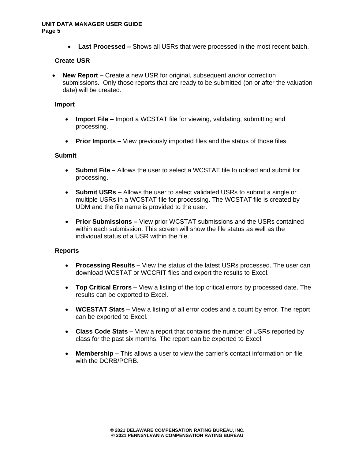• **Last Processed –** Shows all USRs that were processed in the most recent batch.

## **Create USR**

• **New Report –** Create a new USR for original, subsequent and/or correction submissions. Only those reports that are ready to be submitted (on or after the valuation date) will be created.

#### **Import**

- **Import File –** Import a WCSTAT file for viewing, validating, submitting and processing.
- **Prior Imports –** View previously imported files and the status of those files.

#### **Submit**

- **Submit File –** Allows the user to select a WCSTAT file to upload and submit for processing.
- **Submit USRs –** Allows the user to select validated USRs to submit a single or multiple USRs in a WCSTAT file for processing. The WCSTAT file is created by UDM and the file name is provided to the user.
- **Prior Submissions –** View prior WCSTAT submissions and the USRs contained within each submission. This screen will show the file status as well as the individual status of a USR within the file.

## **Reports**

- **Processing Results –** View the status of the latest USRs processed. The user can download WCSTAT or WCCRIT files and export the results to Excel.
- **Top Critical Errors –** View a listing of the top critical errors by processed date. The results can be exported to Excel.
- **WCESTAT Stats –** View a listing of all error codes and a count by error. The report can be exported to Excel.
- **Class Code Stats –** View a report that contains the number of USRs reported by class for the past six months. The report can be exported to Excel.
- **Membership –** This allows a user to view the carrier's contact information on file with the DCRB/PCRB.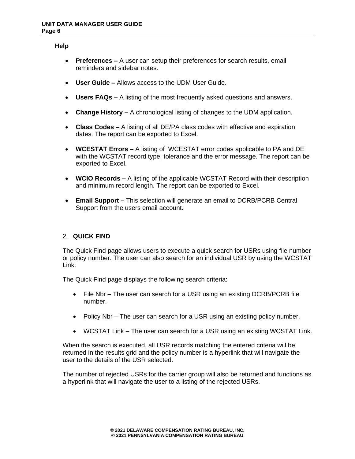#### **Help**

- **Preferences –** A user can setup their preferences for search results, email reminders and sidebar notes.
- **User Guide –** Allows access to the UDM User Guide.
- **Users FAQs –** A listing of the most frequently asked questions and answers.
- **Change History –** A chronological listing of changes to the UDM application.
- **Class Codes –** A listing of all DE/PA class codes with effective and expiration dates. The report can be exported to Excel.
- **WCESTAT Errors –** A listing of WCESTAT error codes applicable to PA and DE with the WCSTAT record type, tolerance and the error message. The report can be exported to Excel.
- **WCIO Records –** A listing of the applicable WCSTAT Record with their description and minimum record length. The report can be exported to Excel.
- **Email Support –** This selection will generate an email to DCRB/PCRB Central Support from the users email account.

## 2. **QUICK FIND**

The Quick Find page allows users to execute a quick search for USRs using file number or policy number. The user can also search for an individual USR by using the WCSTAT Link.

The Quick Find page displays the following search criteria:

- File Nbr The user can search for a USR using an existing DCRB/PCRB file number.
- Policy Nbr The user can search for a USR using an existing policy number.
- WCSTAT Link The user can search for a USR using an existing WCSTAT Link.

When the search is executed, all USR records matching the entered criteria will be returned in the results grid and the policy number is a hyperlink that will navigate the user to the details of the USR selected.

The number of rejected USRs for the carrier group will also be returned and functions as a hyperlink that will navigate the user to a listing of the rejected USRs.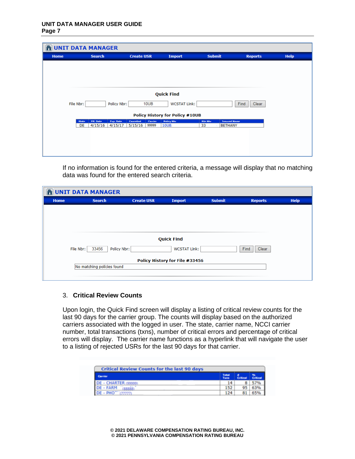|             | <b>NUNIT DATA MANAGER</b>                                   |                                          |                                        |                                                         |                |             |
|-------------|-------------------------------------------------------------|------------------------------------------|----------------------------------------|---------------------------------------------------------|----------------|-------------|
| <b>Home</b> | <b>Search</b>                                               | <b>Create USR</b>                        | <b>Import</b>                          | <b>Submit</b>                                           | <b>Reports</b> | <b>Help</b> |
|             |                                                             |                                          |                                        |                                                         |                |             |
|             |                                                             |                                          |                                        |                                                         |                |             |
|             |                                                             |                                          |                                        |                                                         |                |             |
|             |                                                             |                                          |                                        |                                                         |                |             |
|             |                                                             |                                          | <b>Quick Find</b>                      |                                                         |                |             |
| File Nbr:   | Policy Nbr:                                                 | 10UB                                     | <b>WCSTAT Link:</b>                    |                                                         | Find<br>Clear  |             |
|             |                                                             |                                          | <b>Policy History for Policy #10UB</b> |                                                         |                |             |
|             | Fep. Date<br>Fff. Date<br>Shahe<br>4/15/16<br>DE<br>4/15/17 | Cancelled<br>Carrier<br>5/15/16<br>99999 | <b>Policy Nhr</b><br><b>10UB</b>       | File Nhr<br><b>Tosured Name</b><br>33<br><b>BETHANY</b> |                |             |
|             |                                                             |                                          |                                        |                                                         |                |             |
|             |                                                             |                                          |                                        |                                                         |                |             |
|             |                                                             |                                          |                                        |                                                         |                |             |
|             |                                                             |                                          |                                        |                                                         |                |             |

If no information is found for the entered criteria, a message will display that no matching data was found for the entered search criteria.

| <b>Submit</b><br><b>Create USR</b><br>Home<br><b>Search</b><br><b>Import</b><br><b>Reports</b> | <b>Help</b> |
|------------------------------------------------------------------------------------------------|-------------|
|                                                                                                |             |
|                                                                                                |             |
|                                                                                                |             |
|                                                                                                |             |
|                                                                                                |             |
| <b>Quick Find</b>                                                                              |             |
| 33456<br><b>WCSTAT Link:</b><br>Find<br>Policy Nbr:<br>File Nbr:<br>Clear                      |             |
| Policy History for File #33456                                                                 |             |
| No matching policies found                                                                     |             |
|                                                                                                |             |

## 3. **Critical Review Counts**

Upon login, the Quick Find screen will display a listing of critical review counts for the last 90 days for the carrier group. The counts will display based on the authorized carriers associated with the logged in user. The state, carrier name, NCCI carrier number, total transactions (txns), number of critical errors and percentage of critical errors will display. The carrier name functions as a hyperlink that will navigate the user to a listing of rejected USRs for the last 90 days for that carrier.

|                                | Total |                 |          |
|--------------------------------|-------|-----------------|----------|
| <b>Carrier</b>                 | Tann  | <b>Critical</b> | Critical |
| <b>DE - CHARTER (99999)</b>    | 14    | 8               |          |
| <b>DE - FARM</b>               | 152   | 95              | 63%      |
| DE - PHO <sup>-1</sup> (77777) | 124   | 81              | 65%      |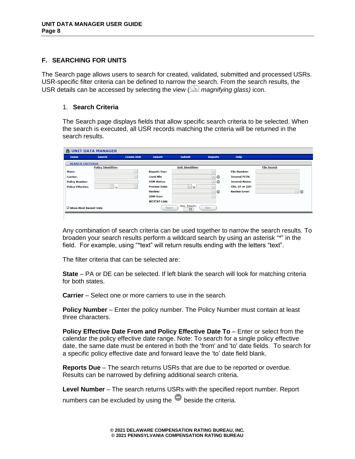## **F. SEARCHING FOR UNITS**

The Search page allows users to search for created, validated, submitted and processed USRs. USR-specific filter criteria can be defined to narrow the search. From the search results, the USR details can be accessed by selecting the view ( *magnifying glass)* icon.

## 1. **Search Criteria**

The Search page displays fields that allow specific search criteria to be selected. When the search is executed, all USR records matching the criteria will be returned in the search results.

| <b>NUNIT DATA MANAGER</b> |                            |                   |                      |                         |                |                      |                    |
|---------------------------|----------------------------|-------------------|----------------------|-------------------------|----------------|----------------------|--------------------|
| Home                      | <b>Search</b>              | <b>Create USR</b> | <b>Import</b>        | <b>Submit</b>           | <b>Reports</b> | <b>Help</b>          |                    |
| <b>SEARCH CRITERIA</b>    |                            |                   |                      |                         |                |                      |                    |
|                           | <b>Policy Identifiers</b>  |                   |                      | <b>Unit Identifiers</b> |                |                      | <b>File Search</b> |
| State:                    |                            | $\vee$            | <b>Reports Due:</b>  |                         | $\checkmark$   | <b>File Number:</b>  |                    |
| <b>Carrier:</b>           |                            | $\vee$            | <b>Level Nbr</b>     |                         | ⊻o             | <b>Insured FEIN:</b> |                    |
| <b>Policy Number:</b>     |                            |                   | <b>UDM Status:</b>   |                         | ⊡ం             | <b>Insured Name:</b> |                    |
| <b>Policy Effective:</b>  | $\overline{\mathbf{r}}$ to | $\vee$            | <b>Process Date:</b> | $\vee$ to               | $\checkmark$   | City, ST or ZIP:     |                    |
|                           |                            |                   | <b>Review:</b>       |                         | ⊻l⊜            | <b>Review Error:</b> | ⊻∣⊝                |
|                           |                            |                   | <b>UDM User:</b>     |                         | $\vee$         |                      |                    |
|                           |                            |                   | <b>WCSTAT Link:</b>  |                         |                |                      |                    |
| Show Most Recent Only     |                            |                   | Search               | Max. Results:<br>50     | Clear          |                      |                    |

Any combination of search criteria can be used together to narrow the search results. To broaden your search results perform a wildcard search by using an asterisk "\*" in the field. For example, using "\*text" will return results ending with the letters "text".

The filter criteria that can be selected are:

**State** – PA or DE can be selected. If left blank the search will look for matching criteria for both states.

**Carrier** – Select one or more carriers to use in the search.

**Policy Number** – Enter the policy number. The Policy Number must contain at least three characters.

**Policy Effective Date From and Policy Effective Date To** – Enter or select from the calendar the policy effective date range. Note: To search for a single policy effective date, the same date must be entered in both the 'from' and 'to' date fields. To search for a specific policy effective date and forward leave the 'to' date field blank.

**Reports Due** – The search returns USRs that are due to be reported or overdue. Results can be narrowed by defining additional search criteria.

**Level Number** – The search returns USRs with the specified report number. Report numbers can be excluded by using the  $\bullet$  beside the criteria.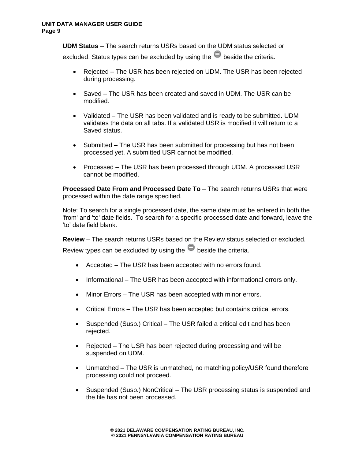**UDM Status** – The search returns USRs based on the UDM status selected or

excluded. Status types can be excluded by using the  $\bullet$  beside the criteria.

- Rejected The USR has been rejected on UDM. The USR has been rejected during processing.
- Saved The USR has been created and saved in UDM. The USR can be modified.
- Validated The USR has been validated and is ready to be submitted. UDM validates the data on all tabs. If a validated USR is modified it will return to a Saved status.
- Submitted The USR has been submitted for processing but has not been processed yet. A submitted USR cannot be modified.
- Processed The USR has been processed through UDM. A processed USR cannot be modified.

**Processed Date From and Processed Date To** – The search returns USRs that were processed within the date range specified.

Note: To search for a single processed date, the same date must be entered in both the 'from' and 'to' date fields. To search for a specific processed date and forward, leave the 'to' date field blank.

**Review** – The search returns USRs based on the Review status selected or excluded. Review types can be excluded by using the  $\bullet$  beside the criteria.

- Accepted The USR has been accepted with no errors found.
- Informational The USR has been accepted with informational errors only.
- Minor Errors The USR has been accepted with minor errors.
- Critical Errors The USR has been accepted but contains critical errors.
- Suspended (Susp.) Critical The USR failed a critical edit and has been rejected.
- Rejected The USR has been rejected during processing and will be suspended on UDM.
- Unmatched The USR is unmatched, no matching policy/USR found therefore processing could not proceed.
- Suspended (Susp.) NonCritical The USR processing status is suspended and the file has not been processed.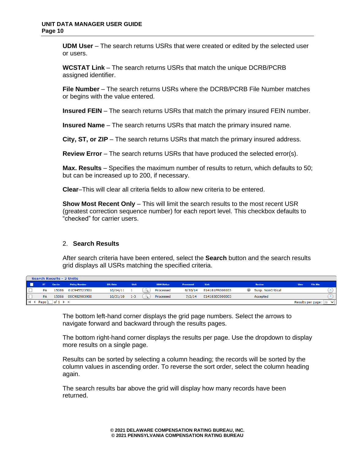**UDM User** – The search returns USRs that were created or edited by the selected user or users.

**WCSTAT Link** – The search returns USRs that match the unique DCRB/PCRB assigned identifier.

**File Number** – The search returns USRs where the DCRB/PCRB File Number matches or begins with the value entered.

**Insured FEIN** – The search returns USRs that match the primary insured FEIN number.

**Insured Name** – The search returns USRs that match the primary insured name.

**City, ST, or ZIP** – The search returns USRs that match the primary insured address.

**Review Error** – The search returns USRs that have produced the selected error(s).

**Max. Results** – Specifies the maximum number of results to return, which defaults to 50; but can be increased up to 200, if necessary.

**Clear**–This will clear all criteria fields to allow new criteria to be entered.

**Show Most Recent Only** – This will limit the search results to the most recent USR (greatest correction sequence number) for each report level. This checkbox defaults to "checked" for carrier users.

# 2. **Search Results**

After search criteria have been entered, select the **Search** button and the search results grid displays all USRs matching the specified criteria.

|      | Search Results - 2 Units |                      |                      |           |         |                   |           |                |                        |                         |
|------|--------------------------|----------------------|----------------------|-----------|---------|-------------------|-----------|----------------|------------------------|-------------------------|
|      |                          | Carrier              | <b>Policy Number</b> | Eff. Date | Unit    | <b>UDM Status</b> | Processed | Link           | <b>Review</b>          | <b>File Nbr</b><br>User |
|      | PA                       | 15066                | 01C945523501         | 10/14/11  |         | Processed         | 6/30/14   | E14181FR000003 | Susp. NonCritical<br>w |                         |
| ▝╶└╌ | PA                       | 15066                | 00C982903900         | 10/31/10  | $1 - 3$ | Processed         | 7/2/14    | E14183EC000003 | Accepted               |                         |
|      | <b>Page</b> 1            | $of 1 \rightarrow M$ |                      |           |         |                   |           |                |                        | Results per page:       |

The bottom left-hand corner displays the grid page numbers. Select the arrows to navigate forward and backward through the results pages.

The bottom right-hand corner displays the results per page. Use the dropdown to display more results on a single page.

Results can be sorted by selecting a column heading; the records will be sorted by the column values in ascending order. To reverse the sort order, select the column heading again.

The search results bar above the grid will display how many records have been returned.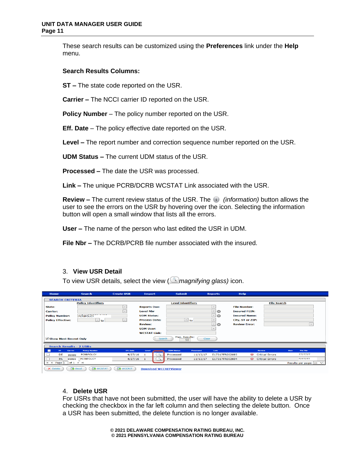These search results can be customized using the **Preferences** link under the **Help** menu.

## **Search Results Columns:**

**ST –** The state code reported on the USR.

**Carrier –** The NCCI carrier ID reported on the USR.

**Policy Number** – The policy number reported on the USR.

**Eff. Date** – The policy effective date reported on the USR.

**Level –** The report number and correction sequence number reported on the USR.

**UDM Status –** The current UDM status of the USR.

**Processed –** The date the USR was processed.

**Link –** The unique PCRB/DCRB WCSTAT Link associated with the USR.

**Review –** The current review status of the USR. The *(information)* button allows the user to see the errors on the USR by hovering over the icon. Selecting the information button will open a small window that lists all the errors.

**User –** The name of the person who last edited the USR in UDM.

**File Nbr –** The DCRB/PCRB file number associated with the insured.

## 3. **View USR Detail**

To view USR details, select the view ( *magnifying glass)* icon.

| <b>Home</b>                                                                                 | <b>Search</b>                          | <b>Create USR</b> | <b>Import</b>                | <b>Submit</b>     |                              | <b>Reports</b>                  | <b>Help</b>          |                        |      |                                 |
|---------------------------------------------------------------------------------------------|----------------------------------------|-------------------|------------------------------|-------------------|------------------------------|---------------------------------|----------------------|------------------------|------|---------------------------------|
| <b>SEARCH CRITERIA</b>                                                                      |                                        |                   |                              |                   |                              |                                 |                      |                        |      |                                 |
|                                                                                             | <b>Policy Identifiers</b>              |                   |                              |                   | <b>Level Identifiers</b>     |                                 |                      | <b>File Search</b>     |      |                                 |
| State:                                                                                      |                                        | $\checkmark$      | <b>Reports Due:</b>          |                   |                              | $\checkmark$                    | <b>File Number:</b>  |                        |      |                                 |
| <b>Carrier:</b>                                                                             |                                        | $\checkmark$      | <b>Level Nbr</b>             |                   |                              | $\vert \vee$<br>$\bullet$       | <b>Insured FEIN:</b> |                        |      |                                 |
| <b>Policy Number:</b>                                                                       | <b>PCRBPOLICY</b>                      |                   | <b>UDM Status:</b>           |                   |                              | $\bullet$<br>$\vert \vee \vert$ | <b>Insured Name:</b> |                        |      |                                 |
| <b>Policy Effective:</b>                                                                    | $\vert \vert$ to                       | $\checkmark$      | <b>Process Date:</b>         |                   | $\vert \cdot \vert$ to       | $\vee$                          | City, ST or ZIP:     |                        |      |                                 |
|                                                                                             |                                        |                   | <b>Review:</b>               |                   |                              | $\sim$<br>$\bullet$             | <b>Review Error:</b> |                        |      | $\vert \vee \vert$              |
|                                                                                             |                                        |                   | <b>UDM User:</b>             |                   |                              | $\vee$                          |                      |                        |      |                                 |
|                                                                                             |                                        |                   | <b>WCSTAT Link:</b>          |                   |                              |                                 |                      |                        |      |                                 |
| √ Show Most Recent Only                                                                     |                                        |                   |                              | Search            | Max. Results:<br>Clear<br>50 |                                 |                      |                        |      |                                 |
| <b>Search Results - 2 USRs</b>                                                              |                                        |                   |                              |                   |                              |                                 |                      |                        |      |                                 |
| <b>ST</b><br>Corrier<br>a a s                                                               | <b>Policy Number</b>                   | <b>Eff.</b> Date  | Level                        | <b>UDM Status</b> | Processed                    | Link                            |                      | <b>Review</b>          | User | <b>File Nbr</b>                 |
| DE                                                                                          | <b>PCRBPOLICY</b><br>99999             | 4/27/16           |                              | Processed         | 11/13/17                     | E17317FR002693                  | (1, 1)               | <b>Critical Errors</b> |      | 7777777                         |
| PA                                                                                          | <b>PCRBPOLICY</b><br>99999             | 4/27/16           |                              | Processed         | 11/13/17                     | E17317FR002694                  |                      | Critical Errors        |      | 7777777                         |
| Page $\boxed{1}$ of $\boxed{1}$ $\blacktriangleright$ $\blacktriangleright$<br>$\mathsf{I}$ |                                        |                   |                              |                   |                              |                                 |                      |                        |      | Results per page: $ 20 \nabla $ |
| $\times$ Delete                                                                             | $\rightarrow$ Excel<br><b>R</b> WCSTAT | <b>NCCRIT</b>     | <b>Download WCCRITViewer</b> |                   |                              |                                 |                      |                        |      |                                 |

# 4. **Delete USR**

For USRs that have not been submitted, the user will have the ability to delete a USR by checking the checkbox in the far left column and then selecting the delete button. Once a USR has been submitted, the delete function is no longer available.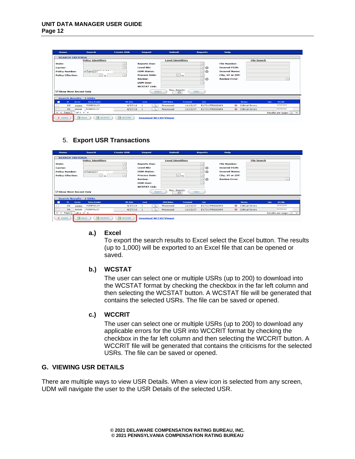| Home                     | <b>Search</b>                   | <b>Create USR</b> | <b>Import</b>                | <b>Submit</b>            |                   | <b>Reports</b>                 | Help                 |                        |      |                                 |  |
|--------------------------|---------------------------------|-------------------|------------------------------|--------------------------|-------------------|--------------------------------|----------------------|------------------------|------|---------------------------------|--|
| <b>SEARCH CRITERIA</b>   |                                 |                   |                              |                          |                   |                                |                      |                        |      |                                 |  |
|                          | <b>Policy Identifiers</b>       |                   |                              | <b>Level Identifiers</b> |                   |                                |                      | <b>File Search</b>     |      |                                 |  |
| State:                   |                                 | $\checkmark$      | <b>Reports Due:</b>          |                          |                   | $\check{~}$                    | <b>File Number:</b>  |                        |      |                                 |  |
| <b>Carrier:</b>          |                                 | $\checkmark$      | <b>Level Nbr</b>             |                          |                   | $\overline{\phantom{0}}$<br>lo | <b>Insured FEIN:</b> |                        |      |                                 |  |
| <b>Policy Number:</b>    | <b>PCRBPOLICY</b>               |                   | <b>UDM Status:</b>           |                          |                   | ⊡⊝                             | <b>Insured Name:</b> |                        |      |                                 |  |
| <b>Policy Effective:</b> | $\vee$ to                       | $\checkmark$      | <b>Process Date:</b>         |                          | $\boxed{\vee}$ to | $\check{~}$                    | City, ST or ZIP:     |                        |      |                                 |  |
|                          |                                 |                   | <b>Review:</b>               |                          |                   | $\vert$ $\vert$<br>$\bullet$   | <b>Review Error:</b> |                        |      | $\checkmark$                    |  |
|                          |                                 |                   | <b>UDM User:</b>             |                          |                   | $\overline{\vee}$              |                      |                        |      |                                 |  |
|                          |                                 |                   | <b>WCSTAT Link:</b>          |                          |                   |                                |                      |                        |      |                                 |  |
| √ Show Most Recent Only  |                                 |                   | Search                       | Max. Results:            | Clear<br>50       |                                |                      |                        |      |                                 |  |
|                          | <b>Search Results - 2 USRs</b>  |                   |                              |                          |                   |                                |                      |                        |      |                                 |  |
| ST.<br>□                 | <b>Policy Number</b><br>Carrier | Eff. Date         | Level                        | <b>UDM Status</b>        | Processed         | Link                           |                      | Review                 | User | File Nbr                        |  |
| <b>DE</b>                | <b>PCRBPOLICY</b><br>99999      | 4/27/16           | $\mathbb{R}$                 | Processed                | 11/13/17          | E17317FR002693                 | (1)                  | <b>Critical Errors</b> |      | 7777777                         |  |
| <b>PA</b>                | <b>PCRBPOLICY</b><br>99999      | 4/27/16           | $\alpha$                     | Processed                | 11/13/17          | E17317FR002694                 | $\omega$             | <b>Critical Errors</b> |      | 7777777                         |  |
| $ 4$ 4 Page $1$ of 1     | <b>E</b> EI                     |                   |                              |                          |                   |                                |                      |                        |      | Results per page: $ 20 \rangle$ |  |
| $\times$ Delete          | <b>Excel</b><br><b>R</b> WCSTAT | <b>EX</b> WCCRIT  | <b>Download WCCRITViewer</b> |                          |                   |                                |                      |                        |      |                                 |  |

# 5. **Export USR Transactions**

| <b>Home</b>                    |                                    | <b>Search</b>             | <b>Create USR</b> | <b>Import</b>                | <b>Submit</b>            |                                     | <b>Reports</b>           | Help                 |                              |                        |      |                                 |
|--------------------------------|------------------------------------|---------------------------|-------------------|------------------------------|--------------------------|-------------------------------------|--------------------------|----------------------|------------------------------|------------------------|------|---------------------------------|
| <b>SEARCH CRITERIA</b>         |                                    |                           |                   |                              |                          |                                     |                          |                      |                              |                        |      |                                 |
|                                |                                    | <b>Policy Identifiers</b> |                   |                              | <b>Level Identifiers</b> |                                     |                          |                      |                              | <b>File Search</b>     |      |                                 |
| State:                         |                                    |                           | $\vee$            | <b>Reports Due:</b>          |                          |                                     | $\vee$                   | <b>File Number:</b>  |                              |                        |      |                                 |
| <b>Carrier:</b>                |                                    |                           | $\checkmark$      | <b>Level Nbr</b>             |                          |                                     | $\checkmark$<br>e        | <b>Insured FEIN:</b> |                              |                        |      |                                 |
| <b>Policy Number:</b>          |                                    | <b>PCRBPOLICY</b>         |                   | <b>UDM Status:</b>           |                          |                                     | $\check{~}$<br>$\bullet$ | <b>Insured Name:</b> |                              |                        |      |                                 |
| <b>Policy Effective:</b>       |                                    | $ v $ to                  | $\sim$            | <b>Process Date:</b>         |                          | $\vert \cdot \vert$ to              | $\vee$                   | City, ST or ZIP:     |                              |                        |      |                                 |
|                                |                                    |                           |                   | <b>Review:</b>               |                          |                                     | ⊻∣⊝                      | <b>Review Error:</b> |                              |                        |      | $\check{~}$                     |
|                                |                                    |                           |                   | <b>UDM User:</b>             |                          |                                     | $\checkmark$             |                      |                              |                        |      |                                 |
|                                |                                    |                           |                   | <b>WCSTAT Link:</b>          |                          |                                     |                          |                      |                              |                        |      |                                 |
| Show Most Recent Only          |                                    |                           |                   | Search                       |                          | Max. Results:<br><b>Clear</b><br>50 |                          |                      |                              |                        |      |                                 |
| <b>Search Results - 2 USRs</b> |                                    |                           |                   |                              |                          |                                     |                          |                      |                              |                        |      |                                 |
| ST.<br>п                       | Carrier                            | <b>Policy Number</b>      | Eff. Date         | Level                        | <b>UDM Status</b>        | Processed                           | Link                     |                      |                              | Review                 | User | File Nbr                        |
| <b>DE</b>                      | 99999                              | <b>PCRBPOLICY</b>         | 4/27/16           | -1                           | Processed                | 11/13/17                            | E17317FR002693           |                      | (1.6)                        | <b>Critical Errors</b> |      | 7777777                         |
| <b>PA</b>                      | 99999                              | <b>PCRBPOLICY</b>         | 4/27/16           | $\alpha$                     | Processed                | 11/13/17                            | E17317FR002694           |                      | $\left( \frac{1}{2} \right)$ | <b>Critical Errors</b> |      | 7777777                         |
| Page 1<br>$\mathbf{H}$         | $of 1$ $\rightarrow$ $\rightarrow$ |                           |                   |                              |                          |                                     |                          |                      |                              |                        |      | Results per page: $ 20 \rangle$ |
| $\times$ Delete                | <b>Excel</b>                       | <b>R</b> WCSTAT           | <b>R</b> WCCRIT   | <b>Download WCCRITViewer</b> |                          |                                     |                          |                      |                              |                        |      |                                 |

#### **a.) Excel**

To export the search results to Excel select the Excel button. The results (up to 1,000) will be exported to an Excel file that can be opened or saved.

## **b.) WCSTAT**

The user can select one or multiple USRs (up to 200) to download into the WCSTAT format by checking the checkbox in the far left column and then selecting the WCSTAT button. A WCSTAT file will be generated that contains the selected USRs. The file can be saved or opened.

## **c.) WCCRIT**

The user can select one or multiple USRs (up to 200) to download any applicable errors for the USR into WCCRIT format by checking the checkbox in the far left column and then selecting the WCCRIT button. A WCCRIT file will be generated that contains the criticisms for the selected USRs. The file can be saved or opened.

# **G. VIEWING USR DETAILS**

There are multiple ways to view USR Details. When a view icon is selected from any screen, UDM will navigate the user to the USR Details of the selected USR.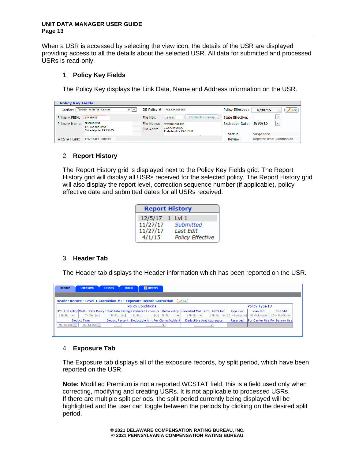When a USR is accessed by selecting the view icon, the details of the USR are displayed providing access to all the details about the selected USR. All data for submitted and processed USRs is read-only.

## 1. **Policy Key Fields**

The Policy Key displays the Link Data, Name and Address information on the USR.

| <b>Policy Key Fields</b> |                                            |            |                                          |                          |                                       |
|--------------------------|--------------------------------------------|------------|------------------------------------------|--------------------------|---------------------------------------|
| Carrier:                 | '99999 - PCRB TEST Carrier<br>$y \sim$     |            | DE Policy #: POLICY5666666               | <b>Policy Effective:</b> | $\blacktriangleright$ Edit<br>8/30/15 |
| Primary FEIN:            | 123456789                                  | File Nbr:  | File Number Lookup<br>123332             | <b>State Effective:</b>  | $\checkmark$                          |
| <b>Primary Name:</b>     | <b>TESTING ONE</b>                         |            | <b>TESTING ONE INC.</b>                  | <b>Expiration Date:</b>  | $\lor$<br>8/30/16                     |
|                          | 123 Avenue Drive<br>Philadelphia, PA 19103 | File Addr: | 123 Avenue Dr.<br>Philadelphia, PA 19103 |                          |                                       |
|                          |                                            |            |                                          | Status:                  | <b>Suspended</b>                      |
| <b>WCSTAT Link:</b>      | E17334EC000179                             |            |                                          | Review:                  | <b>Rejected from Submission</b>       |

# 2. **Report History**

The Report History grid is displayed next to the Policy Key Fields grid. The Report History grid will display all USRs received for the selected policy. The Report History grid will also display the report level, correction sequence number (if applicable), policy effective date and submitted dates for all USRs received.

|                 | <b>Report History</b> |                         |  |  |  |  |  |  |  |  |  |
|-----------------|-----------------------|-------------------------|--|--|--|--|--|--|--|--|--|
| 12/5/17 1 Lvl 1 |                       |                         |  |  |  |  |  |  |  |  |  |
| 11/27/17        |                       | Submitted               |  |  |  |  |  |  |  |  |  |
| 11/27/17        |                       | Last Edit               |  |  |  |  |  |  |  |  |  |
| 4/1/15          |                       | <b>Policy Effective</b> |  |  |  |  |  |  |  |  |  |

## 3. **Header Tab**

The Header tab displays the Header information which has been reported on the USR.

| <b>Header</b> |                                                             | <b>Exposure</b>    | <b>Totals</b><br><b>Losses</b>      | <b>ER History</b>                                                         |                     |                          |                                |                                  |                           |                                |  |  |
|---------------|-------------------------------------------------------------|--------------------|-------------------------------------|---------------------------------------------------------------------------|---------------------|--------------------------|--------------------------------|----------------------------------|---------------------------|--------------------------------|--|--|
|               |                                                             |                    |                                     | <b>Header Record - Level 1 Correction #1 - Exposure Record Correction</b> |                     | $\bigotimes$ Edit        |                                |                                  |                           |                                |  |  |
|               | <b>Policy Conditions</b><br>Policy Type ID                  |                    |                                     |                                                                           |                     |                          |                                |                                  |                           |                                |  |  |
|               |                                                             |                    |                                     | 3Yr. F/R Policy Multi. State Policy InterState Rating Estimated Exposure  | <b>Retro Policy</b> | Cancelled Mid-Term       | <b>MCO Ind</b>                 | <b>Type Cov</b>                  | Plan Ind                  | Non Std                        |  |  |
| $N - No$      | $\overline{\mathbf{v}}$                                     | $Y - Yes$ $V$      | $N - No$<br>$\overline{\mathbf{v}}$ | $N - No$<br>$\vee$                                                        | $N - No$<br>$\sim$  | $N - No$ $\vee$          | $N - No$<br>$\vert \vee \vert$ | 01 - Standar $\overline{\smile}$ | $01 -$ Volunta $\sqrt{ }$ | 01 - Non-Sta $\vee$            |  |  |
|               |                                                             | <b>Deduct Type</b> |                                     | Deduct Percent Deductible Amt Per Claim/Accident                          |                     | Deductible Amt Aggregate |                                | Reserved                         |                           | For Carrier Use For Bureau Use |  |  |
|               | 00 - No Ded $\overline{\vee}$<br>00 - No Ded $\sqrt{}$<br>n |                    |                                     |                                                                           |                     |                          |                                |                                  |                           |                                |  |  |
|               |                                                             |                    |                                     |                                                                           |                     |                          |                                |                                  |                           |                                |  |  |

## 4. **Exposure Tab**

The Exposure tab displays all of the exposure records, by split period, which have been reported on the USR.

**Note:** Modified Premium is not a reported WCSTAT field, this is a field used only when correcting, modifying and creating USRs. It is not applicable to processed USRs. If there are multiple split periods, the split period currently being displayed will be highlighted and the user can toggle between the periods by clicking on the desired split period.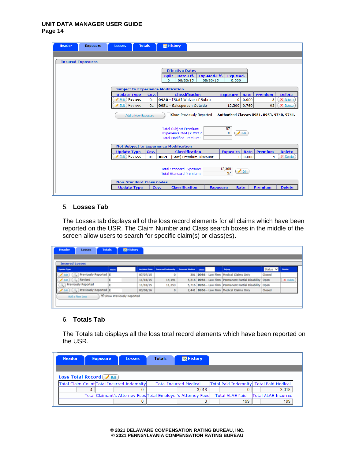| <b>Header</b> | <b>Exposure</b>          | <b>Totals</b><br><b>Losses</b>            |      | <b>图 History</b>                                                                                        |                                                  |          |                 |                           |
|---------------|--------------------------|-------------------------------------------|------|---------------------------------------------------------------------------------------------------------|--------------------------------------------------|----------|-----------------|---------------------------|
|               |                          |                                           |      |                                                                                                         |                                                  |          |                 |                           |
|               | <b>Insured Exposures</b> |                                           |      |                                                                                                         |                                                  |          |                 |                           |
|               |                          |                                           |      | <b>Effective Dates</b><br>Rate.Eff.<br>Exp.Mod.Eff.<br><b>Split</b><br>08/30/15<br>$\Omega$<br>08/30/15 | Exp.Mod.<br>0.000                                |          |                 |                           |
|               |                          | <b>Subject to Experience Modification</b> |      |                                                                                                         |                                                  |          |                 |                           |
|               |                          | <b>Update Type</b>                        | Cov. | <b>Classification</b>                                                                                   | <b>Exposure</b>                                  | Rate     | <b>Premium</b>  | <b>Delete</b>             |
|               |                          | Revised<br>Edit )                         | 01   | 0930 - [Stat] Waiver of Subro                                                                           | 0                                                | 0.000    | з               | X Delete                  |
|               |                          | Revised<br>Edit )                         | 01   | 0951 - Salesperson Outside                                                                              | 12,300                                           | 0.760    | 93              | X Delete                  |
|               |                          | Add a New Exposure                        |      | Show Previously Reported<br><b>Total Subject Premium:</b>                                               | Authorized Classes 0951, 0953, 9740, 9741.<br>97 |          |                 |                           |
|               |                          |                                           |      | Experience Mod (X.XXX):<br><b>Total Modified Premium:</b>                                               | 0                                                | $B$ Edit |                 |                           |
|               |                          |                                           |      | <b>Not Subject to Experience Modification</b>                                                           |                                                  |          |                 |                           |
|               |                          | <b>Update Type</b><br>Edit Revised        | Cov. | <b>Classification</b>                                                                                   | <b>Exposure</b>                                  | Rate     | <b>Premium</b>  | <b>Delete</b><br>X Delete |
|               |                          |                                           | 01   | 0064 - [Stat] Premium Discount                                                                          | $\overline{0}$                                   | 0.000    | $\vert 4 \vert$ |                           |
|               |                          |                                           |      | <b>Total Standard Exposure:</b><br><b>Total Standard Premium:</b>                                       | 12,300<br>97                                     | $B$ Edit |                 |                           |
|               |                          | <b>Non-Standard Class Codes</b>           |      |                                                                                                         |                                                  |          |                 |                           |
|               |                          | <b>Update Type</b>                        |      | <b>Classification</b><br>Cov.                                                                           | <b>Exposure</b>                                  | Rate     | <b>Premium</b>  | <b>Delete</b>             |
|               |                          |                                           |      |                                                                                                         |                                                  |          |                 |                           |

## 5. **Losses Tab**

The Losses tab displays all of the loss record elements for all claims which have been reported on the USR. The Claim Number and Class search boxes in the middle of the screen allow users to search for specific claim(s) or class(es).

| <b>Header</b><br><b>Totals</b><br>Losses               | <b>El History</b>        |                      |                            |                         |        |                                                             |          |               |
|--------------------------------------------------------|--------------------------|----------------------|----------------------------|-------------------------|--------|-------------------------------------------------------------|----------|---------------|
|                                                        |                          |                      |                            |                         |        |                                                             |          |               |
| <b>Insured Losses</b>                                  |                          |                      |                            |                         |        |                                                             |          |               |
| <b>Update Type</b>                                     | Claim                    | <b>Accident Date</b> | <b>Incurred Indonesity</b> | <b>Incurred Medical</b> | Circul | Injury                                                      | Status V | <b>Detete</b> |
| Previously Reported E<br>$F$ Edit $\frac{1}{2}$        |                          | 07/07/15             | Ō                          | 301                     |        | 0956 - Law Firm   Medical Claims Only                       | Closed   |               |
| Revised<br>250 <sub>2</sub>                            | E                        | 11/18/15             | 14,191                     |                         |        | 5,216 0956 - Law Firm Permanent Partial Disability          | Open     | X Delete      |
| <b>Previously Reported</b><br>$\overline{\phantom{a}}$ | E                        | 11/18/15             | 11,353                     |                         |        | 5,716 0956 - Law Firm   Permanent Partial Disability   Open |          |               |
| Edit ) ( Q ) Previously Reported E                     |                          | 03/08/16             | ۰                          |                         |        | 2,441   0956 - Law Firm   Medical Claims Only               | Closed   |               |
| Add a New Loss                                         | Show Previously Reported |                      |                            |                         |        |                                                             |          |               |

# 6. **Totals Tab**

The Totals tab displays all the loss total record elements which have been reported on the USR.

| <b>Header</b>                              | <b>Exposure</b> | <b>Losses</b> | <b>Totals</b> | <b>■ History</b>                                                       |                                         |                                     |  |
|--------------------------------------------|-----------------|---------------|---------------|------------------------------------------------------------------------|-----------------------------------------|-------------------------------------|--|
| <b>Loss Total Record P</b> Edit            |                 |               |               |                                                                        |                                         |                                     |  |
| Total Claim Count Total Incurred Indemnity |                 |               |               | <b>Total Incurred Medical</b>                                          | Total Paid Indemnity Total Paid Medical |                                     |  |
|                                            |                 |               |               | 3.018<br>Total Claimant's Attorney Fees Total Employer's Attorney Fees | <b>Total ALAE Paid</b>                  | 3.018<br><b>Total ALAE Incurred</b> |  |
|                                            |                 |               |               |                                                                        | 199                                     | 199                                 |  |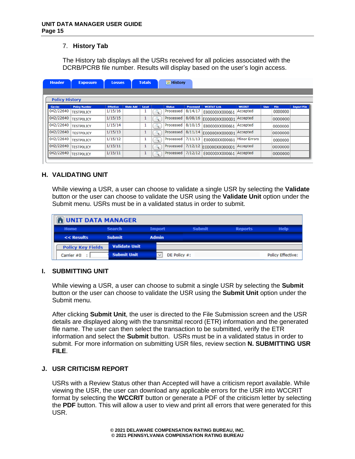# 7. **History Tab**

The History tab displays all the USRs received for all policies associated with the DCRB/PCRB file number. Results will display based on the user's login access.

| <b>Header</b>         | <b>Exposure</b>      | <b>Losses</b>    |                  | <b>Totals</b> | <b>■ History</b> |           |                    |                     |             |             |                    |
|-----------------------|----------------------|------------------|------------------|---------------|------------------|-----------|--------------------|---------------------|-------------|-------------|--------------------|
|                       |                      |                  |                  |               |                  |           |                    |                     |             |             |                    |
| <b>Policy History</b> |                      |                  |                  |               |                  |           |                    |                     |             |             |                    |
| Carrier               | <b>Policy Number</b> | <b>Effective</b> | <b>State Add</b> | Level         | <b>Status</b>    | Processed | <b>WCSTAT Link</b> | <b>WCCRIT</b>       | <b>User</b> | <b>File</b> | <b>Import File</b> |
| 042/22640             | <b>TESTPOLICY</b>    | 1/15/16          |                  |               | Processed        | 8/14/17   | E00000XX000661     | Accepted            |             | 0000000     |                    |
| 042/22640             | <b>TESTPOLICY</b>    | 1/15/15          |                  | ш             | Processed        | 8/08/16   | E00000XX000001     | Accepted            |             | 0000000     |                    |
| 042/22640             | <b>TESTPOLICY</b>    | 1/15/14          |                  | ı             | Processed        | 8/10/15   | E00000XX000661     | Accepted            |             | 0000000     |                    |
| 042/22640             | <b>TESTPOLICY</b>    | 1/15/13          |                  | 1             | Processed        | 8/11/14   | E00000XX000001     | Accepted            |             | 0000000     |                    |
| 042/22640             | <b>TESTPOLICY</b>    | 1/15/12          |                  | т             | Processed        | 7/11/13   | E00000XX000661     | <b>Minor Errors</b> |             | 0000000     |                    |
| 042/22640             | <b>TESTPOLICY</b>    | 1/15/11          |                  | щ             | Processed        | 7/12/12   | E00000XX000001     | Accepted            |             | 0000000     |                    |
| 042/22640             | <b>TESTPOLICY</b>    | 1/15/11          |                  | T             | Processed        | 7/12/12   | E00000XX000661     | Accepted            |             | 0000000     |                    |

## **H. VALIDATING UNIT**

While viewing a USR, a user can choose to validate a single USR by selecting the **Validate** button or the user can choose to validate the USR using the **Validate Unit** option under the Submit menu. USRs must be in a validated status in order to submit.

| <b>NUNIT DATA MANAGER</b> |                      |              |                 |                |                          |
|---------------------------|----------------------|--------------|-----------------|----------------|--------------------------|
| <b>Home</b>               | <b>Search</b>        | Import       | <b>Submit</b>   | <b>Reports</b> | <b>Help</b>              |
| << Results                | <b>Submit</b>        | <b>Admin</b> |                 |                |                          |
| <b>Policy Key Fields</b>  | <b>Validate Unit</b> |              |                 |                |                          |
| Carrier #0                | <b>Submit Unit</b>   |              | DE Policy $#$ : |                | <b>Policy Effective:</b> |

## **I. SUBMITTING UNIT**

While viewing a USR, a user can choose to submit a single USR by selecting the **Submit** button or the user can choose to validate the USR using the **Submit Unit** option under the Submit menu.

After clicking **Submit Unit**, the user is directed to the File Submission screen and the USR details are displayed along with the transmittal record (ETR) information and the generated file name. The user can then select the transaction to be submitted, verify the ETR information and select the **Submit** button. USRs must be in a validated status in order to submit. For more information on submitting USR files, review section **N. SUBMITTING USR FILE**.

## **J. USR CRITICISM REPORT**

USRs with a Review Status other than Accepted will have a criticism report available. While viewing the USR, the user can download any applicable errors for the USR into WCCRIT format by selecting the **WCCRIT** button or generate a PDF of the criticism letter by selecting the **PDF** button. This will allow a user to view and print all errors that were generated for this USR.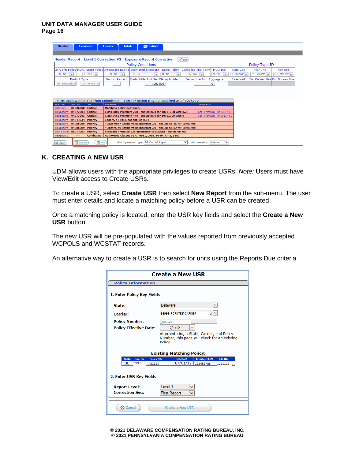| <b>Header</b>       | <b>Exposure</b>    |                                  | Losses                | <b>Totals</b>              | <b>Ed History</b>                                                                  |                          |                           |                          |                                     |                 |                                 |                                |
|---------------------|--------------------|----------------------------------|-----------------------|----------------------------|------------------------------------------------------------------------------------|--------------------------|---------------------------|--------------------------|-------------------------------------|-----------------|---------------------------------|--------------------------------|
|                     |                    |                                  |                       |                            |                                                                                    |                          |                           |                          |                                     |                 |                                 |                                |
|                     |                    |                                  |                       |                            | Header Record - Level 1 Correction #2 - Exposure Record Correction                 |                          | $\overrightarrow{F}$ Edit |                          |                                     |                 |                                 |                                |
|                     |                    |                                  |                       |                            | <b>Policy Conditions</b>                                                           |                          |                           |                          |                                     |                 | Policy Type ID                  |                                |
|                     |                    |                                  |                       |                            | 3Yr. F/R Policy Multi. State Policy InterState Rating Estimated Exposure           | <b>Retro Policy</b>      |                           | Cancelled Mid-Term       | MCO Ind                             | <b>Type Cov</b> | Plan Ind                        | Non Std                        |
| $N - No$            | $\checkmark$       | $Y - Yes$ $\vee$                 | $N - No$              | $\checkmark$               | $N - No$<br>$\checkmark$                                                           | $N - No$<br>$\checkmark$ | $N - No$                  | $\checkmark$             | $N - No$<br>$\overline{\mathbf{v}}$ | 01 - Standar    | 01 - Volunta $\vert \vee \vert$ | 01 - Non-Sta $\vee$            |
|                     | <b>Deduct Type</b> |                                  | <b>Deduct Percent</b> |                            | Deductible Amt Per Claim/Accident                                                  |                          |                           | Deductible Amt Aggregate |                                     | Reserved        |                                 | For Carrier Use For Bureau Use |
| $03 - Medical \vee$ |                    | 02 - Per Acc $\overline{\smile}$ |                       |                            | 1,000,000                                                                          |                          |                           |                          | $\mathbf{0}$                        |                 |                                 |                                |
|                     |                    |                                  |                       |                            |                                                                                    |                          |                           |                          |                                     |                 |                                 |                                |
|                     |                    |                                  |                       |                            |                                                                                    |                          |                           |                          |                                     |                 |                                 |                                |
|                     |                    |                                  |                       |                            | UDM Review Rejected from Submission - Further Action May Be Required as of 12/5/17 |                          |                           |                          |                                     |                 |                                 |                                |
| Record Type         | Error Code         | Toler.                           | Error Message         |                            |                                                                                    |                          |                           | Oulde-Fix Action         |                                     |                 |                                 |                                |
| 1/Header            | 01006000           | <b>Critical</b>                  |                       | Matching policy not found. |                                                                                    |                          |                           |                          |                                     |                 |                                 |                                |
| 4/Exposure          | 04077003           | <b>Critical</b>                  |                       |                            | Class 9887 Premium 228 - should be 0 for 10/01/08 with 0.25                        |                          |                           |                          | Set "Premium" for 9887 to 0         |                 |                                 |                                |
| 4/Exposure          | 04077003           | <b>Critical</b>                  |                       |                            | Class 9663 Premium 448 - should be 0 for 10/01/08 with 0                           |                          |                           |                          | Set "Premium" for 9663 to 0         |                 |                                 |                                |
| 4/Exposure          | 04043034           | <b>Priority</b>                  |                       |                            | Code 9741 DTEC not applied 0.01                                                    |                          |                           |                          |                                     |                 |                                 |                                |
| 4/Exposure          | 04086009           | <b>Priority</b>                  |                       |                            | *Class 9887 Rating value incorrect .00 - should be .25 for 10/01/08                |                          |                           |                          |                                     |                 |                                 |                                |
| 4/Exposure          | 04086009           | <b>Priority</b>                  |                       |                            | *Class 9740 Rating value incorrect .00 - should be .02 for 10/01/08                |                          |                           |                          |                                     |                 |                                 |                                |
| 6/Unit Total        | 06073003           | <b>Priority</b>                  |                       |                            | Standard Premium 235 incorrectly calculated - should be 783                        |                          |                           |                          |                                     |                 |                                 |                                |
| 4/Exposure          | ---                |                                  |                       |                            | Conditional   Authorized Classes 0277, 0951, 0953, 9740, 9741, 9887.               |                          |                           |                          |                                     |                 |                                 |                                |
| Inquiry             | <b>R</b> WCCRIT    | <b>PDF</b>                       |                       |                            | Filter by Record Type: All Record Types                                            |                          | $\check{ }$               | Min. Severity: Warning   |                                     |                 |                                 |                                |

## **K. CREATING A NEW USR**

UDM allows users with the appropriate privileges to create USRs. *Note:* Users must have View/Edit access to Create USRs.

To create a USR, select **Create USR** then select **New Report** from the sub-menu. The user must enter details and locate a matching policy before a USR can be created.

Once a matching policy is located, enter the USR key fields and select the **Create a New USR** button.

The new USR will be pre-populated with the values reported from previously accepted WCPOLS and WCSTAT records.

An alternative way to create a USR is to search for units using the Reports Due criteria

|                                                                              | <b>Create a New USR</b>                                                                                                                          |
|------------------------------------------------------------------------------|--------------------------------------------------------------------------------------------------------------------------------------------------|
| <b>Policy Information</b>                                                    |                                                                                                                                                  |
| 1. Enter Policy Key Fields                                                   |                                                                                                                                                  |
| State:                                                                       | Delaware                                                                                                                                         |
| <b>Carrier:</b>                                                              | ⊥∣∨<br>99999- PCRB TEST CARRIER                                                                                                                  |
| <b>Policy Number:</b>                                                        | <b>ABC123</b>                                                                                                                                    |
| <b>Policy Effective Date:</b>                                                | 7/1/12                                                                                                                                           |
|                                                                              | After entering a State, Carrier, and Policy<br>Number, this page will check for an existing<br><b>Policy</b><br><b>Existing Matching Policy:</b> |
| <b>Policy Nbr</b><br><b>State</b><br>Carrier<br>DE<br>99999<br><b>ABC123</b> | Eff. Date<br><b>Primary FEIN</b><br><b>File Nbr</b><br>07/01/12<br>123456789<br>1111111 .                                                        |
| 2. Enter USR Key Fields                                                      |                                                                                                                                                  |
| <b>Report Level:</b>                                                         | I evel 1                                                                                                                                         |
| <b>Correction Seg:</b>                                                       | <b>First Report</b>                                                                                                                              |
| <b>Q</b> Cancel                                                              | Create a New USR                                                                                                                                 |

**© 2021 DELAWARE COMPENSATION RATING BUREAU, INC. © 2021 PENNSYLVANIA COMPENSATION RATING BUREAU**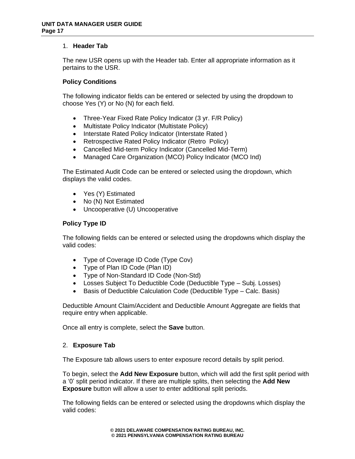## 1. **Header Tab**

The new USR opens up with the Header tab. Enter all appropriate information as it pertains to the USR.

## **Policy Conditions**

The following indicator fields can be entered or selected by using the dropdown to choose Yes (Y) or No (N) for each field.

- Three-Year Fixed Rate Policy Indicator (3 yr. F/R Policy)
- Multistate Policy Indicator (Multistate Policy)
- Interstate Rated Policy Indicator (Interstate Rated )
- Retrospective Rated Policy Indicator (Retro Policy)
- Cancelled Mid-term Policy Indicator (Cancelled Mid-Term)
- Managed Care Organization (MCO) Policy Indicator (MCO Ind)

The Estimated Audit Code can be entered or selected using the dropdown, which displays the valid codes.

- Yes (Y) Estimated
- No (N) Not Estimated
- Uncooperative (U) Uncooperative

# **Policy Type ID**

The following fields can be entered or selected using the dropdowns which display the valid codes:

- Type of Coverage ID Code (Type Cov)
- Type of Plan ID Code (Plan ID)
- Type of Non-Standard ID Code (Non-Std)
- Losses Subject To Deductible Code (Deductible Type Subj. Losses)
- Basis of Deductible Calculation Code (Deductible Type Calc. Basis)

Deductible Amount Claim/Accident and Deductible Amount Aggregate are fields that require entry when applicable.

Once all entry is complete, select the **Save** button.

## 2. **Exposure Tab**

The Exposure tab allows users to enter exposure record details by split period.

To begin, select the **Add New Exposure** button, which will add the first split period with a '0' split period indicator. If there are multiple splits, then selecting the **Add New Exposure** button will allow a user to enter additional split periods.

The following fields can be entered or selected using the dropdowns which display the valid codes: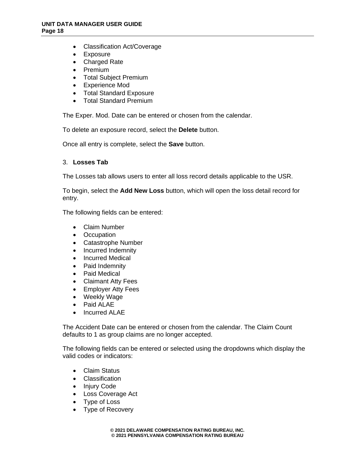- Classification Act/Coverage
- Exposure
- Charged Rate
- Premium
- Total Subject Premium
- Experience Mod
- Total Standard Exposure
- Total Standard Premium

The Exper. Mod. Date can be entered or chosen from the calendar.

To delete an exposure record, select the **Delete** button.

Once all entry is complete, select the **Save** button.

## 3. **Losses Tab**

The Losses tab allows users to enter all loss record details applicable to the USR.

To begin, select the **Add New Loss** button, which will open the loss detail record for entry.

The following fields can be entered:

- Claim Number
- Occupation
- Catastrophe Number
- Incurred Indemnity
- Incurred Medical
- Paid Indemnity
- Paid Medical
- Claimant Atty Fees
- Employer Atty Fees
- Weekly Wage
- Paid ALAE
- Incurred ALAE

The Accident Date can be entered or chosen from the calendar. The Claim Count defaults to 1 as group claims are no longer accepted.

The following fields can be entered or selected using the dropdowns which display the valid codes or indicators:

- Claim Status
- Classification
- Injury Code
- Loss Coverage Act
- Type of Loss
- Type of Recovery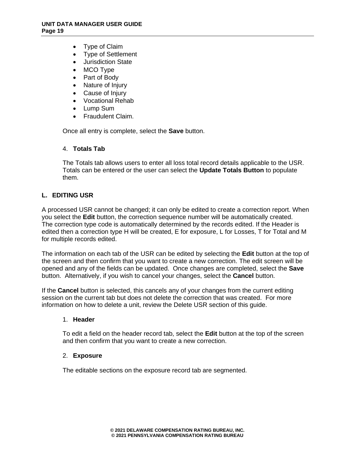- Type of Claim
- Type of Settlement
- Jurisdiction State
- MCO Type
- Part of Body
- Nature of Injury
- Cause of Injury
- Vocational Rehab
- Lump Sum
- Fraudulent Claim.

Once all entry is complete, select the **Save** button.

## 4. **Totals Tab**

The Totals tab allows users to enter all loss total record details applicable to the USR. Totals can be entered or the user can select the **Update Totals Button** to populate them.

## **L. EDITING USR**

A processed USR cannot be changed; it can only be edited to create a correction report. When you select the **Edit** button, the correction sequence number will be automatically created. The correction type code is automatically determined by the records edited. If the Header is edited then a correction type H will be created, E for exposure, L for Losses, T for Total and M for multiple records edited.

The information on each tab of the USR can be edited by selecting the **Edit** button at the top of the screen and then confirm that you want to create a new correction. The edit screen will be opened and any of the fields can be updated. Once changes are completed, select the **Save** button. Alternatively, if you wish to cancel your changes, select the **Cancel** button.

If the **Cancel** button is selected, this cancels any of your changes from the current editing session on the current tab but does not delete the correction that was created. For more information on how to delete a unit, review the Delete USR section of this guide.

## 1. **Header**

To edit a field on the header record tab, select the **Edit** button at the top of the screen and then confirm that you want to create a new correction.

## 2. **Exposure**

The editable sections on the exposure record tab are segmented.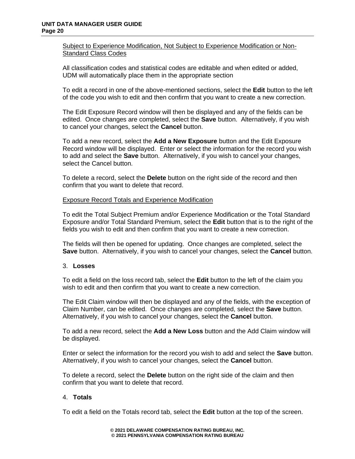## Subject to Experience Modification, Not Subject to Experience Modification or Non-Standard Class Codes

All classification codes and statistical codes are editable and when edited or added, UDM will automatically place them in the appropriate section

To edit a record in one of the above-mentioned sections, select the **Edit** button to the left of the code you wish to edit and then confirm that you want to create a new correction.

The Edit Exposure Record window will then be displayed and any of the fields can be edited. Once changes are completed, select the **Save** button. Alternatively, if you wish to cancel your changes, select the **Cancel** button.

To add a new record, select the **Add a New Exposure** button and the Edit Exposure Record window will be displayed. Enter or select the information for the record you wish to add and select the **Save** button. Alternatively, if you wish to cancel your changes, select the Cancel button.

To delete a record, select the **Delete** button on the right side of the record and then confirm that you want to delete that record.

## Exposure Record Totals and Experience Modification

To edit the Total Subject Premium and/or Experience Modification or the Total Standard Exposure and/or Total Standard Premium, select the **Edit** button that is to the right of the fields you wish to edit and then confirm that you want to create a new correction.

The fields will then be opened for updating. Once changes are completed, select the **Save** button. Alternatively, if you wish to cancel your changes, select the **Cancel** button.

## 3. **Losses**

To edit a field on the loss record tab, select the **Edit** button to the left of the claim you wish to edit and then confirm that you want to create a new correction.

The Edit Claim window will then be displayed and any of the fields, with the exception of Claim Number, can be edited. Once changes are completed, select the **Save** button. Alternatively, if you wish to cancel your changes, select the **Cancel** button.

To add a new record, select the **Add a New Loss** button and the Add Claim window will be displayed.

Enter or select the information for the record you wish to add and select the **Save** button. Alternatively, if you wish to cancel your changes, select the **Cancel** button.

To delete a record, select the **Delete** button on the right side of the claim and then confirm that you want to delete that record.

## 4. **Totals**

To edit a field on the Totals record tab, select the **Edit** button at the top of the screen.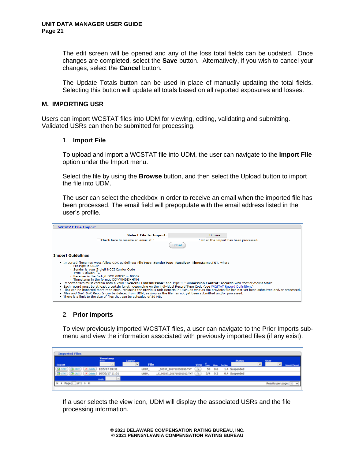The edit screen will be opened and any of the loss total fields can be updated. Once changes are completed, select the **Save** button. Alternatively, if you wish to cancel your changes, select the **Cancel** button.

The Update Totals button can be used in place of manually updating the total fields. Selecting this button will update all totals based on all reported exposures and losses.

## **M. IMPORTING USR**

Users can import WCSTAT files into UDM for viewing, editing, validating and submitting. Validated USRs can then be submitted for processing.

#### 1. **Import File**

To upload and import a WCSTAT file into UDM, the user can navigate to the **Import File** option under the Import menu.

Select the file by using the **Browse** button, and then select the Upload button to import the file into UDM.

The user can select the checkbox in order to receive an email when the imported file has been processed. The email field will prepopulate with the email address listed in the user's profile.

| <b>WCSTAT File Import</b>                                                                                                                                                                                                                                                                                                                                                                                                                                                                                                                                                                                                                                                                                                                                                                                                                                                                                                                                            |  |
|----------------------------------------------------------------------------------------------------------------------------------------------------------------------------------------------------------------------------------------------------------------------------------------------------------------------------------------------------------------------------------------------------------------------------------------------------------------------------------------------------------------------------------------------------------------------------------------------------------------------------------------------------------------------------------------------------------------------------------------------------------------------------------------------------------------------------------------------------------------------------------------------------------------------------------------------------------------------|--|
| <b>Select File to Import:</b><br>Browse<br>Check here to receive an email at "<br>" when the Import has been processed.                                                                                                                                                                                                                                                                                                                                                                                                                                                                                                                                                                                                                                                                                                                                                                                                                                              |  |
| <b>Import Guidelines</b><br>• Imported filenames must follow CDX quidelines: FileType SenderType Receiver Timestamp.TXT, where<br>• FileType is UBDP<br>· Sender is your 5-digit NCCI Carrier Code<br>• Type is always "C"<br>- Receiver is the 5-digit DCO 00037 or 00007<br>• Timestamp in the format CCYYMMDDHHMM<br>• Imported files must contain both a valid "General Transmission" and Type 9 "Submission Control" records with correct record totals.<br>• Each record must be at least a certain length depending on the individual Record Type Code (see WCSTAT Record Definitions)<br>. Files can be imported more than once, replacing the previous Unit Reports in UDM, as long as the previous file has not vet been submitted and/or processed.<br>. Files and their Unit Reports can be deleted from UDM, as long as the file has not vet been submitted and/or processed.<br>. There is a limit to the size of files that can be uploaded of 50 MB. |  |

# 2. **Prior Imports**

To view previously imported WCSTAT files, a user can navigate to the Prior Imports submenu and view the information associated with previously imported files (if any exist).

| <b>Imported Files</b>       |                     |                |                          |     |     |                     |               |   |                   |               |
|-----------------------------|---------------------|----------------|--------------------------|-----|-----|---------------------|---------------|---|-------------------|---------------|
|                             | Timestamp<br>Since: | <b>Carrier</b> |                          |     |     |                     | <b>Status</b> |   | <b>User</b>       |               |
| <b>Export</b>               |                     | w<br>File      |                          |     |     | View Tax Hot Turker |               | v | w                 | Submit/Cancel |
| <b>CEA CALT</b><br>X Delete | 12/5/17 09:31       | UDBT_          | 00037_201712050850.TXT   | 50  | 0.6 |                     | 1.4 Suspended |   |                   |               |
| <b>GA CALIT</b><br>X Delete | 10/30/17 11:01      | UBEP_          | C_00037_201710201012.TXT | 3/4 | 0.2 |                     | 0.4 Suspended |   |                   |               |
|                             | <b>Getti</b>        |                |                          |     |     |                     |               |   |                   |               |
| of $1 + H$<br>Page<br>٠     |                     |                |                          |     |     |                     |               |   | Results per page: |               |

If a user selects the view icon, UDM will display the associated USRs and the file processing information.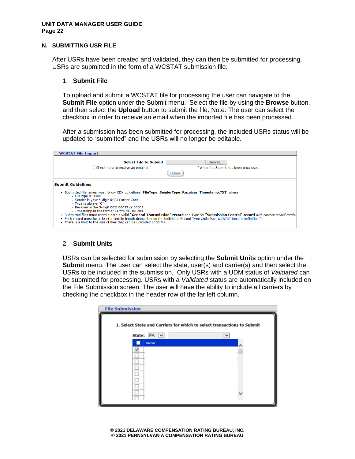#### **N. SUBMITTING USR FILE**

After USRs have been created and validated, they can then be submitted for processing. USRs are submitted in the form of a WCSTAT submission file.

## 1. **Submit File**

To upload and submit a WCSTAT file for processing the user can navigate to the **Submit File** option under the Submit menu. Select the file by using the **Browse** button, and then select the **Upload** button to submit the file. Note: The user can select the checkbox in order to receive an email when the imported file has been processed.

After a submission has been submitted for processing, the included USRs status will be updated to "submitted" and the USRs will no longer be editable.

| <b>WCSTAT File Import</b>                                                                                                                                                                                                                                                                                                                                                                                                                                                                                                                                                                                                                                                        |                                       |
|----------------------------------------------------------------------------------------------------------------------------------------------------------------------------------------------------------------------------------------------------------------------------------------------------------------------------------------------------------------------------------------------------------------------------------------------------------------------------------------------------------------------------------------------------------------------------------------------------------------------------------------------------------------------------------|---------------------------------------|
| <b>Select File to Submit:</b><br>Check here to receive an email at "                                                                                                                                                                                                                                                                                                                                                                                                                                                                                                                                                                                                             | Browse                                |
| Joloac                                                                                                                                                                                                                                                                                                                                                                                                                                                                                                                                                                                                                                                                           | " when the Submit has been processed. |
| <b>Submit Guidelines</b><br>• Submitted filenames must follow CDX quidelines: FileType SenderType Receiver Timestamp.TXT, where<br>- FileType is UBDP<br>· Sender is your 5-digit NCCI Carrier Code<br>• Type is always "C"<br>- Receiver is the 5-digit DCO 00037 or 00007<br>• Timestamp in the format CCYYMMDDHHMM<br>. Submitted files must contain both a valid "General Transmission" record and Type 99 "Submission Control" record with correct record totals.<br>• Each record must be at least a certain length depending on the individual Record Type Code (see WCSTAT Record Definitions)<br>. There is a limit to the size of files that can be uploaded of 50 MB. |                                       |

## 2. **Submit Units**

USRs can be selected for submission by selecting the **Submit Units** option under the **Submit** menu. The user can select the state, user(s) and carrier(s) and then select the USRs to be included in the submission. Only USRs with a UDM status of *Validated* can be submitted for processing. USRs with a *Validated* status are automatically included on the File Submission screen. The user will have the ability to include all carriers by checking the checkbox in the header row of the far left column.

| <b>File Submission</b>                                                  |  |
|-------------------------------------------------------------------------|--|
| 1. Select State and Carriers for which to select transactions to Submit |  |
| State:<br>PA<br>$\overline{\mathbf{v}}$                                 |  |
| Carrier                                                                 |  |
| ✔                                                                       |  |
|                                                                         |  |
|                                                                         |  |
|                                                                         |  |
|                                                                         |  |
|                                                                         |  |
|                                                                         |  |
|                                                                         |  |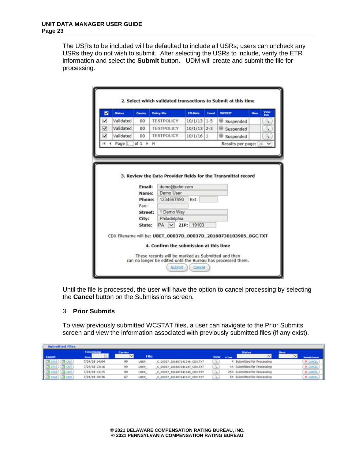The USRs to be included will be defaulted to include all USRs; users can uncheck any USRs they do not wish to submit. After selecting the USRs to include, verify the ETR information and select the **Submit** button. UDM will create and submit the file for processing.

| М | <b>Status</b> | Carrier                            | <b>Policy Nbr</b> | <b>Eff.Date</b> | Level | <b>WCCRIT</b>                                                   | <b>User</b> | View<br>Txun |
|---|---------------|------------------------------------|-------------------|-----------------|-------|-----------------------------------------------------------------|-------------|--------------|
| ✓ | Validated     | 00                                 | <b>TESTPOLICY</b> | $10/1/13$ 1-5   |       | Suspended                                                       |             |              |
| ◡ | Validated     | 00                                 | <b>TESTPOLICY</b> | $10/1/13$ 2-3   |       | Suspended                                                       |             | x            |
|   | Validated     | $00 -$                             | <b>TESTPOLICY</b> | $10/1/16$ 1     |       | Suspended                                                       |             | ٦            |
| и | Page 1        | of $1$ $\rightarrow$ $\rightarrow$ |                   |                 |       | Results per page:   20 V                                        |             |              |
|   |               | Fax:<br>Street:                    | 1 Demo Way        |                 |       |                                                                 |             |              |
|   |               | City:                              | Philadelphia      |                 |       |                                                                 |             |              |
|   |               | State:                             | PA v ZIP: 19103   |                 |       |                                                                 |             |              |
|   |               |                                    |                   |                 |       | CDX Filename will be: UBET 00037D 00037D 20180730103905 BGC.TXT |             |              |

Until the file is processed, the user will have the option to cancel processing by selecting the **Cancel** button on the Submissions screen.

## 3. **Prior Submits**

To view previously submitted WCSTAT files, a user can navigate to the Prior Submits screen and view the information associated with previously submitted files (if any exist).

| <b>Submitted Files</b>                                                                                                                                                                      |                  |                |             |                              |             |               |                              |      |                      |
|---------------------------------------------------------------------------------------------------------------------------------------------------------------------------------------------|------------------|----------------|-------------|------------------------------|-------------|---------------|------------------------------|------|----------------------|
|                                                                                                                                                                                             | <b>Timestamp</b> | <b>Carrier</b> |             |                              |             |               | <b>Status</b>                | User |                      |
| Export                                                                                                                                                                                      | <b>Since:</b>    |                | File        |                              | <b>View</b> | <b>A Tank</b> | v١                           |      | <b>Submit/Cancel</b> |
| <b>CA OUT</b>                                                                                                                                                                               | 7/24/18 14:04    | 99             | <b>UBEP</b> | C 00037_201807241346_CDX.TXT |             |               | 4 Submitted for Processing   |      | <b>X CANCEL</b>      |
| <b>CA</b> CRIT                                                                                                                                                                              | 7/24/18 13:16    | 99             | UBEP.       | C_00037_201807241247_CDX.TXT |             |               | 44 Submitted for Processing  |      | <b>X CANCEL</b>      |
| $\begin{array}{ c } \hline (79.5\,{\rm K}) \\ \hline (79.5\,{\rm K}) \\ \hline (79.5\,{\rm K}) \\ \hline (79.5\,{\rm K}) \\ \hline (79.5\,{\rm K}) \\ \hline \end{array}$<br><b>CALCRIT</b> | 7/24/18 13:15    | 99             | UBEP -      | C 00037 201807241245 CDX.TXT |             |               | 250 Submitted for Processing |      | <b>X CANCEL</b>      |
| <b>EA</b> CRIT                                                                                                                                                                              | 7/24/18 10:36    | 67             | UBEP_       | C_00037_201807241017_CDX.TXT |             |               | 54 Submitted for Processing  |      | X CANCEL             |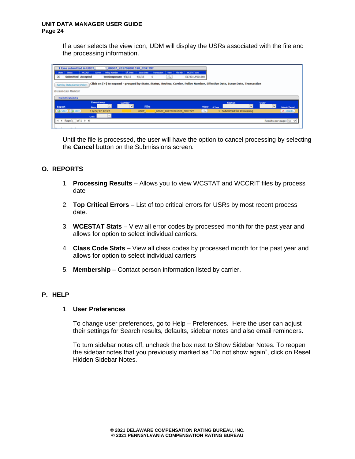If a user selects the view icon, UDM will display the USRs associated with the file and the processing information.

|        | 1 txns submitted in UBDT                                 |                |                  | 00007 201702081520 CDX.TXT |                 |                   |                            |      |          |                    |             |                |                                                                                                                            |      |   |                 |
|--------|----------------------------------------------------------|----------------|------------------|----------------------------|-----------------|-------------------|----------------------------|------|----------|--------------------|-------------|----------------|----------------------------------------------------------------------------------------------------------------------------|------|---|-----------------|
| Shake  | <b>Shiha</b>                                             | WOONET         | Carrier          | <b>Policy Number</b>       | <b>ER. Date</b> | <b>Innue Date</b> | Transaction                | View | File Nov | <b>WOSTAT Link</b> |             |                |                                                                                                                            |      |   |                 |
| D€     | <b>Submitted Accepted</b>                                |                |                  | test0exposure 4/1/15       |                 | 4/1/15            | $\circ$                    |      |          | E17331UF001560     |             |                |                                                                                                                            |      |   |                 |
|        | Sort by State, Carrier, Policy<br><b>Business Rules:</b> |                |                  |                            |                 |                   |                            |      |          |                    |             |                | Click on [+] to expand - grouped by State, Status, Review, Carrier, Policy Number, Effective Date, Issue Date, Transaction |      |   |                 |
|        |                                                          |                |                  |                            |                 |                   |                            |      |          |                    |             |                |                                                                                                                            |      |   |                 |
|        | <b>Submissions</b>                                       |                |                  |                            |                 |                   |                            |      |          |                    |             |                |                                                                                                                            |      |   |                 |
|        |                                                          |                | <b>Timestamp</b> |                            | <b>Carrier</b>  |                   |                            |      |          |                    |             |                | <b>Status</b>                                                                                                              | User |   |                 |
| Export |                                                          |                | Since:           |                            | w               | File              |                            |      |          |                    | <b>View</b> | <b>A Turns</b> | ▿                                                                                                                          |      | ▿ | Submit/Cancel   |
|        | $(A)$ STAT $)$ $(A)$ CAT $)$                             | <b>Gentili</b> | 11/27/17 12:27   |                            |                 | <b>UBDT.</b>      | 00007_201702081520_CDX.TXT |      |          |                    | a.          |                | 1 Submitted for Processing                                                                                                 |      |   | <b>X CANCEL</b> |

Until the file is processed, the user will have the option to cancel processing by selecting the **Cancel** button on the Submissions screen.

# **O. REPORTS**

- 1. **Processing Results**  Allows you to view WCSTAT and WCCRIT files by process date
- 2. **Top Critical Errors**  List of top critical errors for USRs by most recent process date.
- 3. **WCESTAT Stats**  View all error codes by processed month for the past year and allows for option to select individual carriers.
- 4. **Class Code Stats**  View all class codes by processed month for the past year and allows for option to select individual carriers
- 5. **Membership** Contact person information listed by carrier.

# **P. HELP**

## 1. **User Preferences**

To change user preferences, go to Help – Preferences. Here the user can adjust their settings for Search results, defaults, sidebar notes and also email reminders.

To turn sidebar notes off, uncheck the box next to Show Sidebar Notes. To reopen the sidebar notes that you previously marked as "Do not show again", click on Reset Hidden Sidebar Notes.